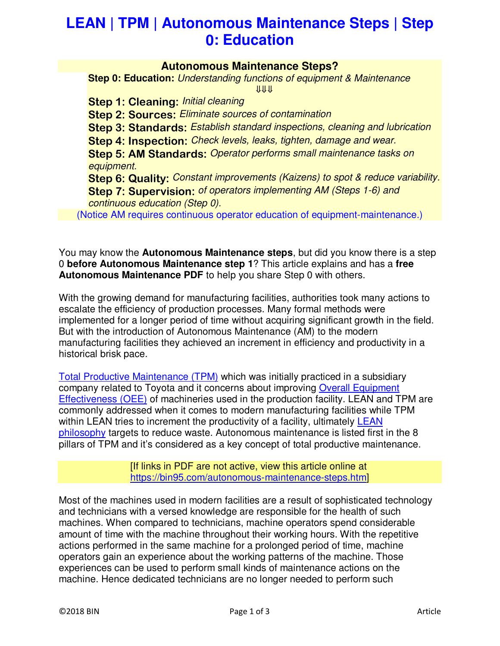# **LEAN | TPM | Autonomous Maintenance Steps | Step 0: Education**

#### **Autonomous Maintenance Steps?**

**Step 0: Education:** *Understanding functions of equipment & Maintenance* ⇓⇓⇓

**Step 1: Cleaning:** *Initial cleaning*

**Step 2: Sources:** *Eliminate sources of contamination*

**Step 3: Standards:** *Establish standard inspections, cleaning and lubrication*

**Step 4: Inspection:** *Check levels, leaks, tighten, damage and wear.*

**Step 5: AM Standards:** *Operator performs small maintenance tasks on equipment.*

**Step 6: Quality:** *Constant improvements (Kaizens) to spot & reduce variability.* **Step 7: Supervision:** *of operators implementing AM (Steps 1-6) and continuous education (Step 0).*

(Notice AM requires continuous operator education of equipment-maintenance.)

You may know the **Autonomous Maintenance steps**, but did you know there is a step 0 **before Autonomous Maintenance step 1**? This article explains and has a **free Autonomous Maintenance PDF** to help you share Step 0 with others.

With the growing demand for manufacturing facilities, authorities took many actions to escalate the efficiency of production processes. Many formal methods were implemented for a longer period of time without acquiring significant growth in the field. But with the introduction of Autonomous Maintenance (AM) to the modern manufacturing facilities they achieved an increment in efficiency and productivity in a historical brisk pace.

Total Productive Maintenance (TPM) which was initially practiced in a subsidiary company related to Toyota and it concerns about improving Overall Equipment Effectiveness (OEE) of machineries used in the production facility. LEAN and TPM are commonly addressed when it comes to modern manufacturing facilities while TPM within LEAN tries to increment the productivity of a facility, ultimately LEAN philosophy targets to reduce waste. Autonomous maintenance is listed first in the 8 pillars of TPM and it's considered as a key concept of total productive maintenance.

> [If links in PDF are not active, view this article online at https://bin95.com/autonomous-maintenance-steps.htm]

Most of the machines used in modern facilities are a result of sophisticated technology and technicians with a versed knowledge are responsible for the health of such machines. When compared to technicians, machine operators spend considerable amount of time with the machine throughout their working hours. With the repetitive actions performed in the same machine for a prolonged period of time, machine operators gain an experience about the working patterns of the machine. Those experiences can be used to perform small kinds of maintenance actions on the machine. Hence dedicated technicians are no longer needed to perform such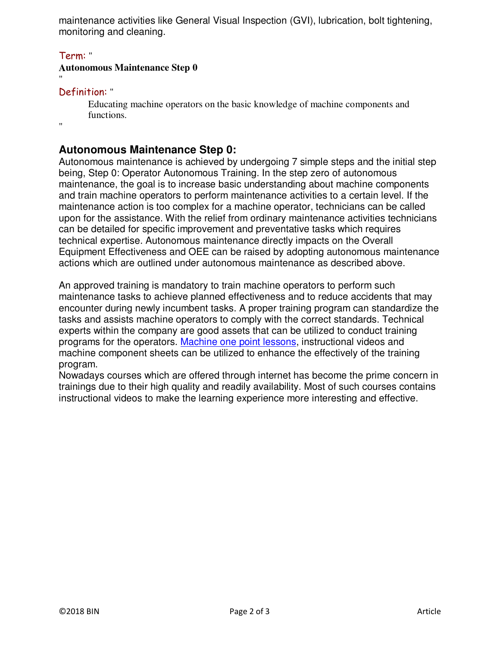maintenance activities like General Visual Inspection (GVI), lubrication, bolt tightening, monitoring and cleaning.

#### Term: "

#### **Autonomous Maintenance Step 0**

## Definition: "

Educating machine operators on the basic knowledge of machine components and functions.

 $"$ 

"

# **Autonomous Maintenance Step 0:**

Autonomous maintenance is achieved by undergoing 7 simple steps and the initial step being, Step 0: Operator Autonomous Training. In the step zero of autonomous maintenance, the goal is to increase basic understanding about machine components and train machine operators to perform maintenance activities to a certain level. If the maintenance action is too complex for a machine operator, technicians can be called upon for the assistance. With the relief from ordinary maintenance activities technicians can be detailed for specific improvement and preventative tasks which requires technical expertise. Autonomous maintenance directly impacts on the Overall Equipment Effectiveness and OEE can be raised by adopting autonomous maintenance actions which are outlined under autonomous maintenance as described above.

An approved training is mandatory to train machine operators to perform such maintenance tasks to achieve planned effectiveness and to reduce accidents that may encounter during newly incumbent tasks. A proper training program can standardize the tasks and assists machine operators to comply with the correct standards. Technical experts within the company are good assets that can be utilized to conduct training programs for the operators. Machine one point lessons, instructional videos and machine component sheets can be utilized to enhance the effectively of the training program.

Nowadays courses which are offered through internet has become the prime concern in trainings due to their high quality and readily availability. Most of such courses contains instructional videos to make the learning experience more interesting and effective.